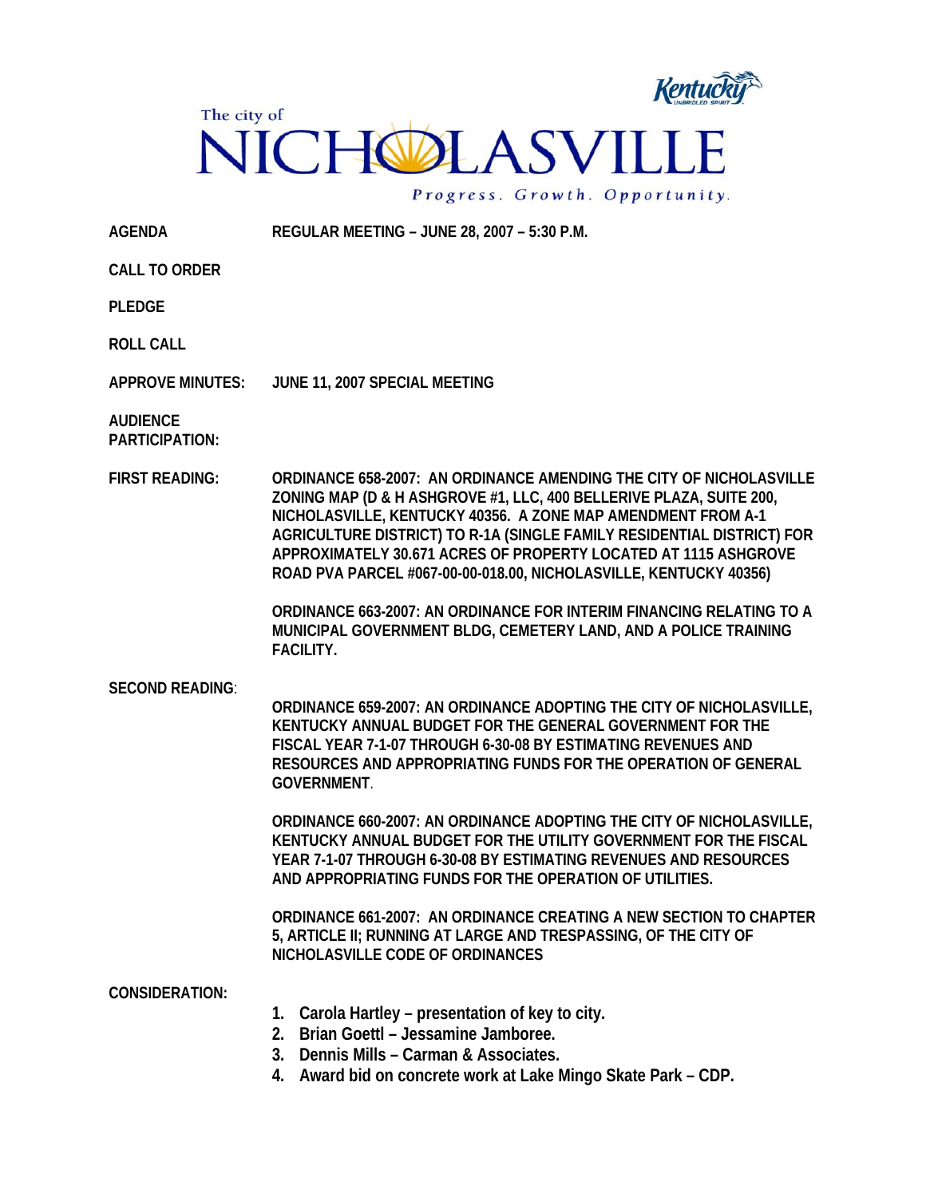

**AGENDA REGULAR MEETING – JUNE 28, 2007 – 5:30 P.M.** 

**CALL TO ORDER** 

**PLEDGE** 

**ROLL CALL** 

**APPROVE MINUTES: JUNE 11, 2007 SPECIAL MEETING** 

**AUDIENCE PARTICIPATION:** 

**FIRST READING: ORDINANCE 658-2007: AN ORDINANCE AMENDING THE CITY OF NICHOLASVILLE ZONING MAP (D & H ASHGROVE #1, LLC, 400 BELLERIVE PLAZA, SUITE 200, NICHOLASVILLE, KENTUCKY 40356. A ZONE MAP AMENDMENT FROM A-1 AGRICULTURE DISTRICT) TO R-1A (SINGLE FAMILY RESIDENTIAL DISTRICT) FOR APPROXIMATELY 30.671 ACRES OF PROPERTY LOCATED AT 1115 ASHGROVE ROAD PVA PARCEL #067-00-00-018.00, NICHOLASVILLE, KENTUCKY 40356)** 

> **ORDINANCE 663-2007: AN ORDINANCE FOR INTERIM FINANCING RELATING TO A MUNICIPAL GOVERNMENT BLDG, CEMETERY LAND, AND A POLICE TRAINING FACILITY.**

## **SECOND READING**:

**ORDINANCE 659-2007: AN ORDINANCE ADOPTING THE CITY OF NICHOLASVILLE, KENTUCKY ANNUAL BUDGET FOR THE GENERAL GOVERNMENT FOR THE FISCAL YEAR 7-1-07 THROUGH 6-30-08 BY ESTIMATING REVENUES AND RESOURCES AND APPROPRIATING FUNDS FOR THE OPERATION OF GENERAL GOVERNMENT**.

**ORDINANCE 660-2007: AN ORDINANCE ADOPTING THE CITY OF NICHOLASVILLE, KENTUCKY ANNUAL BUDGET FOR THE UTILITY GOVERNMENT FOR THE FISCAL YEAR 7-1-07 THROUGH 6-30-08 BY ESTIMATING REVENUES AND RESOURCES AND APPROPRIATING FUNDS FOR THE OPERATION OF UTILITIES.** 

**ORDINANCE 661-2007: AN ORDINANCE CREATING A NEW SECTION TO CHAPTER 5, ARTICLE II; RUNNING AT LARGE AND TRESPASSING, OF THE CITY OF NICHOLASVILLE CODE OF ORDINANCES**

**CONSIDERATION:**

- **1. Carola Hartley presentation of key to city.**
- **2. Brian Goettl Jessamine Jamboree.**
- **3. Dennis Mills Carman & Associates.**
- **4. Award bid on concrete work at Lake Mingo Skate Park CDP.**